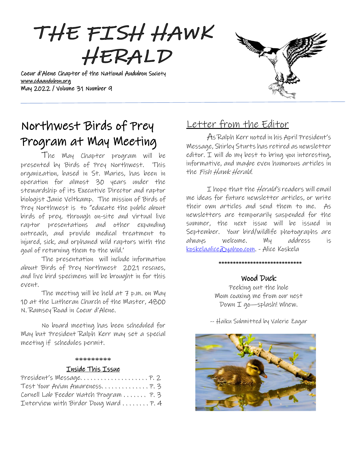

Coeur d'Alene Chapter of the National Audubon Society [www.cdaaudubon.org](http://www.cdaaudubon.org/) May 2022 / Volume 31 Number 9



# Northwest Birds of Prey Program at May Meeting

I

The May Chapter program will be presented by Birds of Prey Northwest. This organization, based in St. Maries, has been in operation for almost 30 years under the stewardship of its Executive Director and raptor biologist Janie Veltkamp. The mission of Birds of Prey Northwest is to "educate the public about birds of prey, through on-site and virtual live raptor presentations and other expanding outreach, and provide medical treatment to injured, sick, and orphaned wild raptors with the goal of returning them to the wild.'

The presentation will include information about Birds of Prey Northwest 2021 rescues, and live bird specimens will be brought in for this event.

The meeting will be held at 7 p.m. on May 10 at the Lutheran Church of the Master, 4800 N. Ramsey Road in Coeur d'Alene.

No board meeting has been scheduled for May but President Ralph Kerr may set a special meeting if schedules permit.

#### \*\*\*\*\*\*\*\*\*

#### Inside This Issue

| Cornell Lab Feeder Watch Program  P. 3 |  |
|----------------------------------------|--|
| Interview with Birder Doug Ward  P. 4  |  |

# Letter from the Editor

As Ralph Kerr noted in his April President's Message, Shirley Sturts has retired as newsletter editor. I will do my best to bring you interesting, informative, and maybe even humorous articles in the Fish Hawk Herald.

I hope that the *Herald's* readers will email me ideas for future newsletter articles, or write their own articles and send them to me. As newsletters are temporarily suspended for the summer, the next issue will be issued in September. Your bird/wildlife photographs are always welcome. My address is [koskelaalice@yahoo.com.](mailto:koskelaalice@yahoo.com) - Alice Koskela

#### **\*\*\*\*\*\*\*\*\*\*\*\*\*\*\*\*\*\*\*\*\*\*\*\*\*\*\*\*\***

#### Wood Duck

Peeking out the hole Mom coaxing me from our nest Down I go—splash! Whew.

-- Haiku Submitted by Valerie Zagar

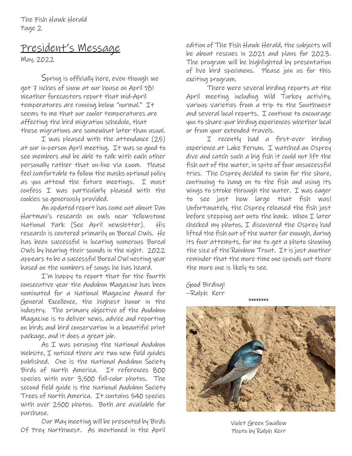The Fish Hawk Herald Page 2

# President's Message

May, 2022

Spring is officially here, even though we got 7 inches of snow at our house on April 18! Weather forecasters report that mid-April temperatures are running below "normal." It seems to me that our cooler temperatures are affecting the bird migration schedule, that these migrations are somewhat later than usual.

I was pleased with the attendance (25) at our in-person April meeting. It was so good to see members and be able to talk with each other personally rather that on-line via zoom. Please feel comfortable to follow the masks optional policy as you attend the future meetings. I must confess I was particularly pleased with the cookies so generously provided.

An updated report has come out about Dan Hartman's research on owls near Yellowstone National Park (See April newsletter). His research is centered primarily on Boreal Owls. He has been successful in locating numerous Boreal Owls by hearing their sounds in the night. 2022 appears to be a successful Boreal Owl nesting year based on the numbers of songs he has heard.

I'm happy to report that for the fourth consecutive year the Audubon Magazine has been nominated for a National Magazine Award for General Excellence, the highest honor in the industry. The primary objective of the Audubon Magazine is to deliver news, advice and reporting on birds and bird conservation in a beautiful print package, and it does a great job.

As I was perusing the National Audubon Website, I noticed there are two new field guides published. One is the National Audubon Society Birds of North America. It references 800 species with over 3,500 full-color photos. The second field guide is the National Audubon Society Trees of North America. It contains 540 species with over 2500 photos. Both are available for purchase.

Our May meeting will be presented by Birds Of Prey Northwest. As mentioned in the April

edition of The Fish Hawk Herald, the subjects will be about rescues in 2021 and plans for 2023. The program will be highlighted by presentation of live bird specimens. Please join us for this exciting program.

There were several birding reports at the April meeting including Wild Turkey activity, various varieties from a trip to the Southwest and several local reports. I continue to encourage you to share your birding experiences whether local or from your extended travels.

I recently had a first-ever birding experience at Lake Fernan. I watched an Osprey dive and catch such a big fish it could not lift the fish out of the water, in spite of four unsuccessful tries. The Osprey decided to swim for the shore, continuing to hang on to the fish and using its wings to stroke through the water. I was eager to see just how large that fish was! Unfortunately, the Osprey released the fish just before stepping out onto the bank. When I later checked my photos, I discovered the Osprey had lifted the fish out of the water far enough, during its four attempts, for me to get a photo showing the size of the Rainbow Trout. It is just another reminder that the more time one spends out there the more one is likely to see.

Good Birding! --Ralph Kerr



Violet Green Swallow Photo by Ralph Kerr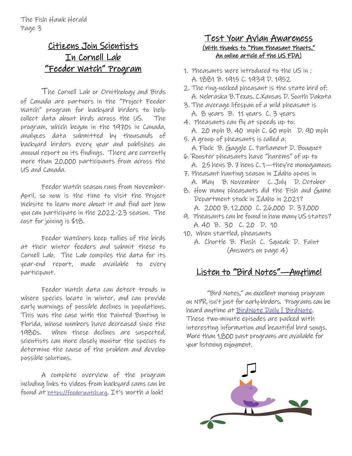# Citizens Join Scientists In Cornell Lab "Feeder Watch" Program

The Cornell Lab or Ornithology and Birds of Canada are partners in the "Project Feeder Watch" program for backyard birders to help collect data about birds across the US. The program, which began in the 1970s in Canada, analyzes data submitted by thousands of backyard birders every year and publishes an annual report on its findings. There are currently more than 20,000 participants from across the US and Canada.

Feeder Watch season runs from November-April, so now is the time to visit the Project Website to learn more about it and find out how you can participate in the 2022-23 season. The cost for joining is \$18.

Feeder Watchers keep tallies of the birds at their winter feeders and submit these to Cornell Lab. The Lab compiles the data for its year-end report, made available to every participant.

Feeder Watch data can detect trends in where species locate in winter, and can provide early warnings of possible declines in populations. This was the case with the Painted Bunting in Florida, whose numbers have decreased since the 1980s. When these declines are suspected, scientists can more closely monitor the species to determine the cause of the problem and develop possible solutions.

A complete overview of the program including links to videos from backyard cams can be found at [https://feederwatch.org](https://feederwatch.org/). It's worth a look!

#### Test Your Avian Awareness (With thanks to "Phun Pheasant Phacts," An online article of the US FDA)

- 1. Pheasants were introduced to the US in : A. 1881 B. 1915 C. 1939 D. 1952
- 2. The ring-necked pheasant is the state bird of: A. Nebraska B.Texas. C.Kansas D. South Dakota
- 3. The average lifespan of a wild pheasant is A. 8 years B. 11 years C. 3 years
- 4. Pheasants can fly at speeds up to: A. 20 mph B. 40 mph C. 60 mph D. 90 mph
- 5. A group of pheasants is called a: A. Flock B. Gaggle C. Parliament D. Bouquet
- 6. Rooster pheasants have "harems" of up to A. 25 hens B. 7 hens C. 1—they're monogamous
- 7. Pheasant hunting season in Idaho opens in A. May B. November C. July D. October
- 8. How many pheasants did the Fish and Game Department stock in Idaho in 2021? A. 2000 B. 12,000 C. 26,000 D. 37,000
- 9. Pheasants can be found in how many US states? A. 40 B. 30 C. 20 D. 10
- 10, When startled, pheasants
	- A. Chortle B. Flush C. Squeak D. Faint (Answers on page 4)

# Listen to "Bird Notes"—Anytime!

"Bird Notes," an excellent morning program on NPR, isn't just for early-birders. Programs can be heard anytime at <u>BirdNote Daily | BirdNote</u>. These two-minute episodes are packed with interesting information and beautiful bird songs. More than 1,800 past programs are available for your listening enjoyment.

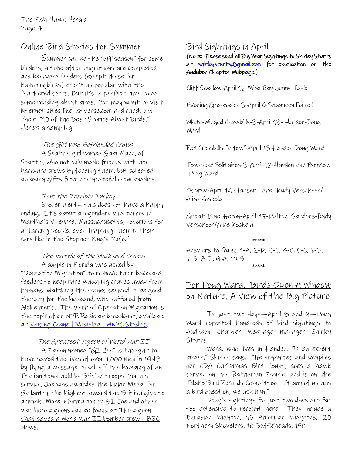### Online Bird Stories for Summer

Summer can be the "off season" for some birders, a time after migrations are completed and backyard feeders (except those for hummingbirds) aren't as popular with the feathered sorts. But it's a perfect time to do some reading about birds. You may want to visit internet sites like listverse.com and check out their "10 of the Best Stories About Birds." Here's a sampling:

#### The Girl Who Befriended Crows

A Seattle girl named Gabi Mann, of Seattle, who not only made friends with her backyard crows by feeding them, but collected amazing gifts from her grateful crow buddies.

#### Tom the Terrible Turkey

Spoiler alert—this does not have a happy ending. It's about a legendary wild turkey in Martha's Vineyard, Massachusetts, notorious for attacking people, even trapping them in their cars like in the Stephen King's "Cujo."

#### The Battle of the Backyard Cranes A couple in Florida was asked by

"Operation Migration" to remove their backyard feeders to keep rare whooping cranes away from humans. Watching the cranes seemed to be good therapy for the husband, who suffered from Alzheimer's. The work of Operation Migration is the topic of an NPR Radiolab broadcast, available at [Raising Crane | Radiolab | WNYC Studios.](https://www.wnycstudios.org/podcasts/radiolab/articles/254840-operation-migration)

#### The Greatest Pigeon of World War II

A Pigeon named "GI Joe" is thought to have saved the lives of [over 1,000 men](http://www.radiolab.org/story/110079-lost-found/) in 1943 by flying a message to call off the bombing of an Italian town held by British troops. For his service, Joe was awarded the Dickin Medal for Gallantry, the highest award the British give to animals. More information on GI Joe and other war hero pigeons can be found at [The pigeon](https://www.bbc.com/news/uk-scotland-tayside-central-17138990)  [that saved a World War II bomber crew -](https://www.bbc.com/news/uk-scotland-tayside-central-17138990) BBC [News.](https://www.bbc.com/news/uk-scotland-tayside-central-17138990)

### Bird Sightings in April

(Note: Please send all Big Year Sightings to Shirley Sturts at [shirleysturts@gmail.com](mailto:shirleysturts@gmail.com) for publication on the Audubon Chapter Webpage.)

Cliff Swallow-April 12-Mica Bay-Jenny Taylor

Evening Grosbeaks-3-April 6-ShauneenTerrell

White-Winged Crossbills-3-April 13- Hayden-Doug Ward

Red Crossbills-"a few"-April 13-Hayden-Doug Ward

Townsend Solitaires-3-April 12-Hayden and Bayview -Doug Ward

Osprey-April 14-Hauser Lake- Rudy Verschoor/ Alice Koskela

Great Blue Heron-April 17-Dalton Gardens-Rudy Verschoor/Alice Koskela

### \*\*\*\*\*

Answers to Quiz: 1-A, 2-D, 3-C, 4-C, 5-C, 6-B. 7-B. 8-D, 9-A, 10-B \*\*\*\*\*

## For Doug Ward, Birds Open A Window on Nature, A View of the Big Picture

In just two days—April 8 and 9—Doug Ward reported hundreds of bird sightings to Audubon Chapter Webpage manager Shirley Sturts

Ward, who lives in Handen, "is an expert birder," Shirley says. "He organizes and compiles our CDA Christmas Bird Count, does a hawk survey on the Rathdrum Prairie, and is on the Idaho Bird Records Committee. If any of us has a bird question, we ask him."

Doug's sightings for just two days are far too extensive to recount here. They include a Eurasian Widgeon, 15 American Widgeons, 20 Northern Shovelers, 10 Buffleheads, 150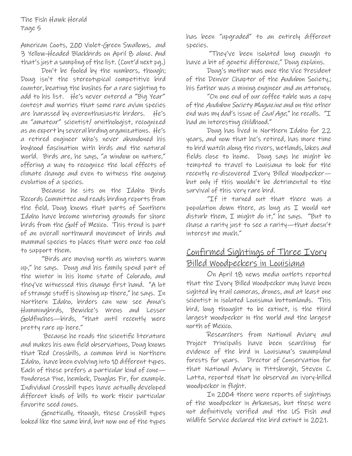American Coots, 200 Violet-Green Swallows, and 3 Yellow-Headed Blackbirds on April 8 alone. And that's just a sampling of the list. (Cont'd next pg.)

Don't be fooled by the numbers, though; Doug isn't the stereotypical competitive bird counter, beating the bushes for a rare sighting to add to his list. He's never entered a "Big Year" contest and worries that some rare avian species are harassed by overenthusiastic birders. He's an "amateur" scientist/ ornithologist, recognized as an expert by several birding organizations. He's a retired engineer who's never abandoned his boyhood fascination with birds and the natural world. Birds are, he says, "a window on nature," offering a way to recognize the local effects of climate change and even to witness the ongoing evolution of a species.

Because he sits on the Idaho Birds Records Committee and reads birding reports from the field, Doug knows that parts of Southern Idaho have become wintering grounds for shore birds from the Gulf of Mexico. This trend is part of an overall northward movement of birds and mammal species to places that were once too cold to support them.

"Birds are moving north as winters warm up," he says. Doug and his family spend part of the winter in his home state of Colorado, and they've witnessed this change first hand. "A lot of strange stuff is showing up there," he says. In Northern Idaho, birders can now see Anna's Hummingbirds, Bewicke's Wrens and Lesser Goldfinches—birds, "that until recently were pretty rare up here."

Because he reads the scientific literature and makes his own field observations, Doug knows that Red Crossbills, a common bird in Northern Idaho, have been evolving into 10 different types. Each of these prefers a particular kind of cone— Ponderosa Pine, hemlock, Douglas Fir, for example. Individual Crossbill types have actually developed different kinds of bills to work their particular favorite seed cones.

Genetically, though, these Crossbill types looked like the same bird, but now one of the types has been "upgraded" to an entirely different species.

"They've been isolated long enough to have a bit of genetic difference," Doug explains.

Doug's mother was once the Vice President of the Denver Chapter of the Audubon Society,; his father was a mining engineer and an attorney.

"On one end of our coffee table was a copy of the Audubon Society Magazine and on the other end was my dad's issue of Coal Age," he recalls. "I had an interesting childhood."

Doug has lived in Northern Idaho for 22 years, and now that he's retired, has more time to bird watch along the rivers, wetlands, lakes and fields close to home. Doug says he might be tempted to travel to Louisiana to look for the recently re-discovered Ivory Billed Woodpecker but only if this wouldn't be detrimental to the survival of this very rare bird.

"If it turned out that there was a population down there, as long as  $I$  would not disturb them, I might do it," he says. "But to chase a rarity just to see a rarity—that doesn't interest me much."

### Confirmed Sightings of Three Ivory Billed Woodpeckers in Louisiana

On April 18 news media outlets reported that the Ivory Billed Woodpecker may have been sighted by trail cameras, drones, and at least one scientist in isolated Louisiana bottomlands. This bird, long thought to be extinct, is the third largest woodpecker in the world and the largest north of Mexico.

Researchers from National Aviary and Project Principalis have been searching for evidence of the bird in Louisiana's swampland forests for years. Director of Conservation for that National Aviary in Pittsburgh, Steven C. Latta, reported that he observed an ivory-billed woodpecker in flight.

In 2004 there were reports of sightings of the woodpecker in Arkansas, but these were not definitively verified and the US Fish and Wildlife Service declared the bird extinct in 2021.